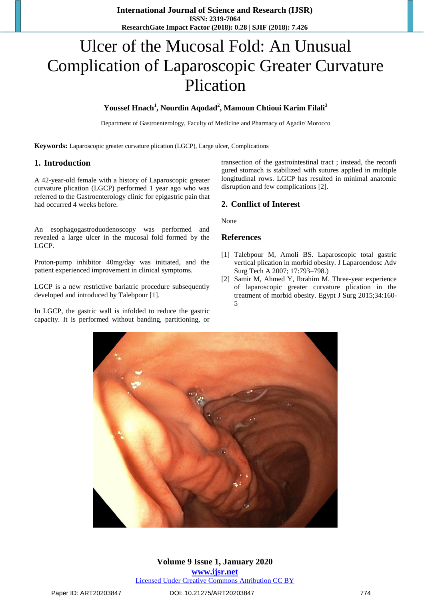# Ulcer of the Mucosal Fold: An Unusual Complication of Laparoscopic Greater Curvature Plication

# **Youssef Hnach<sup>1</sup> , Nourdin Aqodad<sup>2</sup> , Mamoun Chtioui Karim Filali<sup>3</sup>**

Department of Gastroenterology, Faculty of Medicine and Pharmacy of Agadir/ Morocco

**Keywords:** Laparoscopic greater curvature plication (LGCP), Large ulcer, Complications

### **1. Introduction**

A 42-year-old female with a history of Laparoscopic greater curvature plication (LGCP) performed 1 year ago who was referred to the Gastroenterology clinic for epigastric pain that had occurred 4 weeks before.

An esophagogastroduodenoscopy was performed and revealed a large ulcer in the mucosal fold formed by the LGCP.

Proton-pump inhibitor 40mg/day was initiated, and the patient experienced improvement in clinical symptoms.

LGCP is a new restrictive bariatric procedure subsequently developed and introduced by Talebpour [1].

In LGCP, the gastric wall is infolded to reduce the gastric capacity. It is performed without banding, partitioning, or

transection of the gastrointestinal tract ; instead, the reconfi gured stomach is stabilized with sutures applied in multiple longitudinal rows. LGCP has resulted in minimal anatomic disruption and few complications [2].

# **2. Conflict of Interest**

None

#### **References**

- [1] Talebpour M, Amoli BS. Laparoscopic total gastric vertical plication in morbid obesity. J Laparoendosc Adv Surg Tech A 2007; 17:793–798.)
- [2] Samir M, Ahmed Y, Ibrahim M. Three-year experience of laparoscopic greater curvature plication in the treatment of morbid obesity. Egypt J Surg 2015;34:160- 5



**Volume 9 Issue 1, January 2020 www.ijsr.net** Licensed Under Creative Commons Attribution CC BY